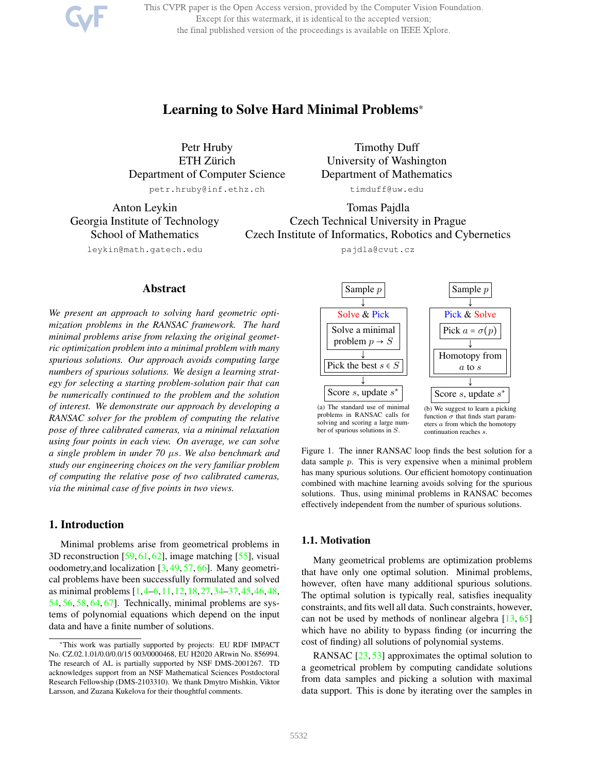This CVPR paper is the Open Access version, provided by the Computer Vision Foundation. Except for this watermark, it is identical to the accepted version; the final published version of the proceedings is available on IEEE Xplore.

# Learning to Solve Hard Minimal Problems\*

Petr Hruby ETH Zürich Department of Computer Science petr.hruby@inf.ethz.ch

Anton Leykin Georgia Institute of Technology School of Mathematics

Timothy Duff University of Washington Department of Mathematics

timduff@uw.edu

Tomas Pajdla Czech Technical University in Prague Czech Institute of Informatics, Robotics and Cybernetics

pajdla@cvut.cz

leykin@math.gatech.edu

### Abstract

*We present an approach to solving hard geometric optimization problems in the RANSAC framework. The hard minimal problems arise from relaxing the original geometric optimization problem into a minimal problem with many spurious solutions. Our approach avoids computing large numbers of spurious solutions. We design a learning strategy for selecting a starting problem-solution pair that can be numerically continued to the problem and the solution of interest. We demonstrate our approach by developing a RANSAC solver for the problem of computing the relative pose of three calibrated cameras, via a minimal relaxation using four points in each view. On average, we can solve a single problem in under 70* µs. *We also benchmark and study our engineering choices on the very familiar problem of computing the relative pose of two calibrated cameras, via the minimal case of five points in two views.*

### 1. Introduction

Minimal problems arise from geometrical problems in 3D reconstruction [59, 61, 62], image matching [55], visual oodometry,and localization [3, 49, 57, 66]. Many geometrical problems have been successfully formulated and solved as minimal problems [1,4–6,11,12,18,27,34–37,45,46,48, 54, 56, 58, 64, 67]. Technically, minimal problems are systems of polynomial equations which depend on the input data and have a finite number of solutions.

Sample p ↓ Solve & Pick Solve a minimal problem  $p \rightarrow S$ Pick the best  $s \in S$ ↓ Score  $s$ , update  $s^*$ (a) The standard use of minimal problems in RANSAC calls for solving and scoring a large number of spurious solutions in S. Sample p ↓ Pick & Solve Pick  $a = \sigma(p)$ ↓ Homotopy from a to s ↓ Score  $s$ , update  $s^*$ (b) We suggest to learn a picking function  $\sigma$  that finds start parameters a from which the homotopy

Figure 1. The inner RANSAC loop finds the best solution for a data sample p. This is very expensive when a minimal problem has many spurious solutions. Our efficient homotopy continuation combined with machine learning avoids solving for the spurious solutions. Thus, using minimal problems in RANSAC becomes effectively independent from the number of spurious solutions.

continuation reaches s.

### 1.1. Motivation

Many geometrical problems are optimization problems that have only one optimal solution. Minimal problems, however, often have many additional spurious solutions. The optimal solution is typically real, satisfies inequality constraints, and fits well all data. Such constraints, however, can not be used by methods of nonlinear algebra [13, 65] which have no ability to bypass finding (or incurring the cost of finding) all solutions of polynomial systems.

RANSAC [23, 53] approximates the optimal solution to a geometrical problem by computing candidate solutions from data samples and picking a solution with maximal data support. This is done by iterating over the samples in

<sup>\*</sup>This work was partially supported by projects: EU RDF IMPACT No. CZ.02.1.01/0.0/0.0/15 003/0000468, EU H2020 ARtwin No. 856994. The research of AL is partially supported by NSF DMS-2001267. TD acknowledges support from an NSF Mathematical Sciences Postdoctoral Research Fellowship (DMS-2103310). We thank Dmytro Mishkin, Viktor Larsson, and Zuzana Kukelova for their thoughtful comments.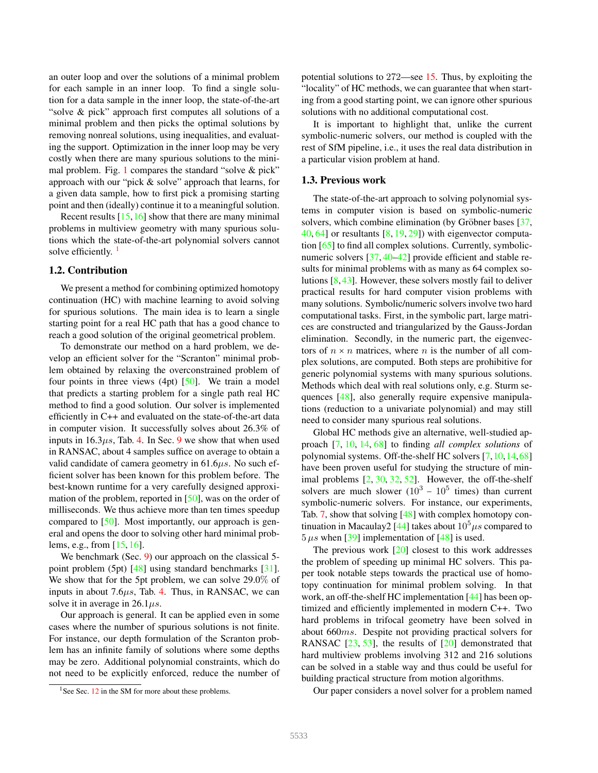an outer loop and over the solutions of a minimal problem for each sample in an inner loop. To find a single solution for a data sample in the inner loop, the state-of-the-art "solve & pick" approach first computes all solutions of a minimal problem and then picks the optimal solutions by removing nonreal solutions, using inequalities, and evaluating the support. Optimization in the inner loop may be very costly when there are many spurious solutions to the minimal problem. Fig. 1 compares the standard "solve & pick" approach with our "pick & solve" approach that learns, for a given data sample, how to first pick a promising starting point and then (ideally) continue it to a meaningful solution.

Recent results [15,16] show that there are many minimal problems in multiview geometry with many spurious solutions which the state-of-the-art polynomial solvers cannot solve efficiently.  $\frac{1}{1}$ 

#### 1.2. Contribution

We present a method for combining optimized homotopy continuation (HC) with machine learning to avoid solving for spurious solutions. The main idea is to learn a single starting point for a real HC path that has a good chance to reach a good solution of the original geometrical problem.

To demonstrate our method on a hard problem, we develop an efficient solver for the "Scranton" minimal problem obtained by relaxing the overconstrained problem of four points in three views  $(4pt)$  [50]. We train a model that predicts a starting problem for a single path real HC method to find a good solution. Our solver is implemented efficiently in C++ and evaluated on the state-of-the-art data in computer vision. It successfully solves about 26.3% of inputs in  $16.3\mu s$ , Tab. 4. In Sec. 9 we show that when used in RANSAC, about 4 samples suffice on average to obtain a valid candidate of camera geometry in 61.6 $\mu$ s. No such efficient solver has been known for this problem before. The best-known runtime for a very carefully designed approximation of the problem, reported in [50], was on the order of milliseconds. We thus achieve more than ten times speedup compared to [50]. Most importantly, our approach is general and opens the door to solving other hard minimal problems, e.g., from [15, 16].

We benchmark (Sec. 9) our approach on the classical 5point problem (5pt) [48] using standard benchmarks [31]. We show that for the 5pt problem, we can solve 29.0% of inputs in about 7.6 $\mu$ s, Tab. 4. Thus, in RANSAC, we can solve it in average in  $26.1 \mu s$ .

Our approach is general. It can be applied even in some cases where the number of spurious solutions is not finite. For instance, our depth formulation of the Scranton problem has an infinite family of solutions where some depths may be zero. Additional polynomial constraints, which do not need to be explicitly enforced, reduce the number of potential solutions to 272—see 15. Thus, by exploiting the "locality" of HC methods, we can guarantee that when starting from a good starting point, we can ignore other spurious solutions with no additional computational cost.

It is important to highlight that, unlike the current symbolic-numeric solvers, our method is coupled with the rest of SfM pipeline, i.e., it uses the real data distribution in a particular vision problem at hand.

### 1.3. Previous work

The state-of-the-art approach to solving polynomial systems in computer vision is based on symbolic-numeric solvers, which combine elimination (by Gröbner bases  $[37, 37]$  $40, 64$  or resultants  $[8, 19, 29]$  with eigenvector computation [65] to find all complex solutions. Currently, symbolicnumeric solvers [37, 40–42] provide efficient and stable results for minimal problems with as many as 64 complex solutions [8,43]. However, these solvers mostly fail to deliver practical results for hard computer vision problems with many solutions. Symbolic/numeric solvers involve two hard computational tasks. First, in the symbolic part, large matrices are constructed and triangularized by the Gauss-Jordan elimination. Secondly, in the numeric part, the eigenvectors of  $n \times n$  matrices, where n is the number of all complex solutions, are computed. Both steps are prohibitive for generic polynomial systems with many spurious solutions. Methods which deal with real solutions only, e.g. Sturm sequences [48], also generally require expensive manipulations (reduction to a univariate polynomial) and may still need to consider many spurious real solutions.

Global HC methods give an alternative, well-studied approach [7, 10, 14, 68] to finding *all complex solutions* of polynomial systems. Off-the-shelf HC solvers [7,10,14,68] have been proven useful for studying the structure of minimal problems  $[2, 30, 32, 52]$ . However, the off-the-shelf solvers are much slower  $(10^3 - 10^5$  times) than current symbolic-numeric solvers. For instance, our experiments, Tab. 7, show that solving [48] with complex homotopy continuation in Macaulay2 [44] takes about  $10^5 \mu s$  compared to  $5 \mu s$  when [39] implementation of [48] is used.

The previous work  $[20]$  closest to this work addresses the problem of speeding up minimal HC solvers. This paper took notable steps towards the practical use of homotopy continuation for minimal problem solving. In that work, an off-the-shelf HC implementation [44] has been optimized and efficiently implemented in modern C++. Two hard problems in trifocal geometry have been solved in about 660ms. Despite not providing practical solvers for RANSAC  $[23, 53]$ , the results of  $[20]$  demonstrated that hard multiview problems involving 312 and 216 solutions can be solved in a stable way and thus could be useful for building practical structure from motion algorithms.

Our paper considers a novel solver for a problem named

<sup>&</sup>lt;sup>1</sup>See Sec.  $12$  in the SM for more about these problems.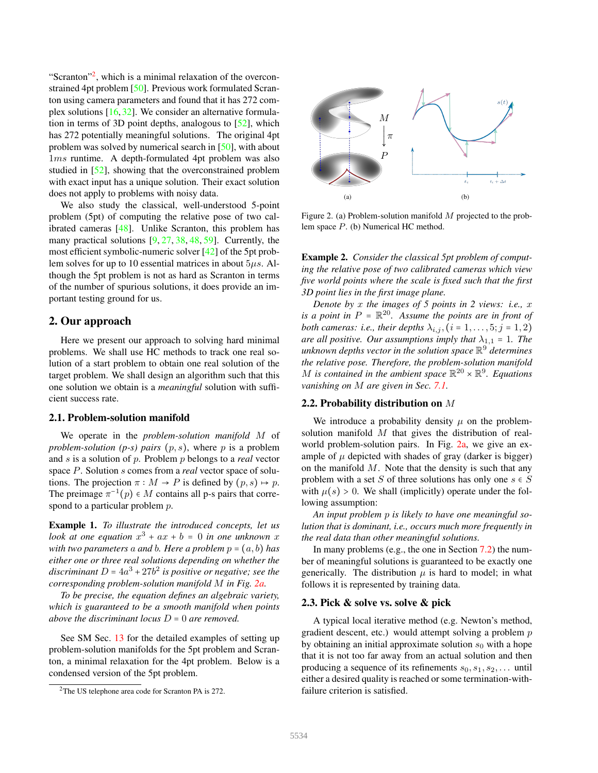"Scranton"<sup>2</sup>, which is a minimal relaxation of the overconstrained 4pt problem [50]. Previous work formulated Scranton using camera parameters and found that it has 272 complex solutions [16,32]. We consider an alternative formulation in terms of 3D point depths, analogous to [52], which has 272 potentially meaningful solutions. The original 4pt problem was solved by numerical search in [50], with about 1ms runtime. A depth-formulated 4pt problem was also studied in [52], showing that the overconstrained problem with exact input has a unique solution. Their exact solution does not apply to problems with noisy data.

We also study the classical, well-understood 5-point problem (5pt) of computing the relative pose of two calibrated cameras [48]. Unlike Scranton, this problem has many practical solutions [9, 27, 38, 48, 59]. Currently, the most efficient symbolic-numeric solver [42] of the 5pt problem solves for up to 10 essential matrices in about  $5\mu s$ . Although the 5pt problem is not as hard as Scranton in terms of the number of spurious solutions, it does provide an important testing ground for us.

### 2. Our approach

Here we present our approach to solving hard minimal problems. We shall use HC methods to track one real solution of a start problem to obtain one real solution of the target problem. We shall design an algorithm such that this one solution we obtain is a *meaningful* solution with sufficient success rate.

### 2.1. Problem-solution manifold

We operate in the *problem-solution manifold* M of *problem-solution (p-s) pairs*  $(p, s)$ *, where p is a problem* and s is a solution of p. Problem p belongs to a *real* vector space P. Solution s comes from a *real* vector space of solutions. The projection  $\pi : M \to P$  is defined by  $(p, s) \mapsto p$ . The preimage  $\pi^{-1}(p) \in M$  contains all p-s pairs that corre-<br>grand to a particular making  $p$ . spond to a particular problem  $p$ .

Example 1. *To illustrate the introduced concepts, let us look at one equation*  $x^3 + ax + b = 0$  *in one unknown* x *with two parameters* a *and b. Here a problem*  $p = (a, b)$  *has either one or three real solutions depending on whether the* discriminant  $D = 4a^3 + 27b^2$  is positive or negative; see the *corresponding problem-solution manifold* M *in Fig. 2a.*

*To be precise, the equation defines an algebraic variety, which is guaranteed to be a smooth manifold when points above the discriminant locus* <sup>D</sup> <sup>=</sup> <sup>0</sup> *are removed.*

See SM Sec. 13 for the detailed examples of setting up problem-solution manifolds for the 5pt problem and Scranton, a minimal relaxation for the 4pt problem. Below is a condensed version of the 5pt problem.



Figure 2. (a) Problem-solution manifold  $M$  projected to the problem space P. (b) Numerical HC method.

Example 2. *Consider the classical 5pt problem of computing the relative pose of two calibrated cameras which view five world points where the scale is fixed such that the first 3D point lies in the first image plane.*

*Denote by* x *the images of 5 points in 2 views: i.e.,* x *is a point in*  $P = \mathbb{R}^{20}$ . Assume the points are in front of *both cameras: i.e., their depths*  $\lambda_{i,j}$ ,  $(i = 1, \ldots, 5; j = 1, 2)$ *are all positive. Our assumptions imply that*  $\lambda_{1,1} = 1$ *. The unknown depths vector in the solution space* R 9 *determines the relative pose. Therefore, the problem-solution manifold* M is contained in the ambient space  $\mathbb{R}^{20} \times \mathbb{R}^{9}$ . Equations *vanishing on* M *are given in Sec. 7.1.*

#### 2.2. Probability distribution on M

We introduce a probability density  $\mu$  on the problemsolution manifold M that gives the distribution of realworld problem-solution pairs. In Fig. 2a, we give an example of  $\mu$  depicted with shades of gray (darker is bigger) on the manifold  $M$ . Note that the density is such that any problem with a set S of three solutions has only one  $s \in S$ with  $\mu(s) > 0$ . We shall (implicitly) operate under the following assumption:

*An input problem* p *is likely to have one meaningful solution that is dominant, i.e., occurs much more frequently in the real data than other meaningful solutions.*

In many problems (e.g., the one in Section 7.2) the number of meaningful solutions is guaranteed to be exactly one generically. The distribution  $\mu$  is hard to model; in what follows it is represented by training data.

#### 2.3. Pick & solve vs. solve & pick

A typical local iterative method (e.g. Newton's method, gradient descent, etc.) would attempt solving a problem  $p$ by obtaining an initial approximate solution  $s_0$  with a hope that it is not too far away from an actual solution and then producing a sequence of its refinements  $s_0, s_1, s_2, \ldots$  until either a desired quality is reached or some termination-withfailure criterion is satisfied.

<sup>2</sup>The US telephone area code for Scranton PA is 272.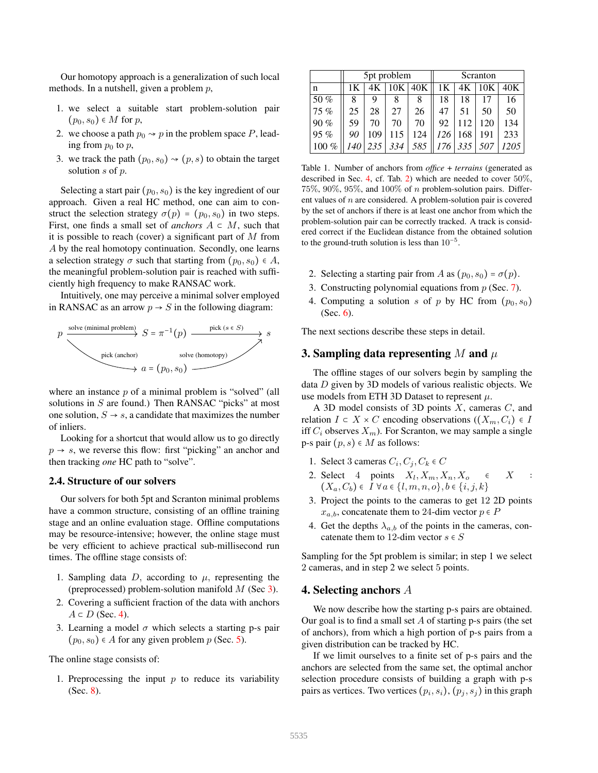Our homotopy approach is a generalization of such local methods. In a nutshell, given a problem  $p$ ,

- 1. we select a suitable start problem-solution pair  $(p_0, s_0) \in M$  for p,
- 2. we choose a path  $p_0 \rightarrow p$  in the problem space P, leading from  $p_0$  to  $p$ ,
- 3. we track the path  $(p_0, s_0) \rightarrow (p, s)$  to obtain the target solution s of p.

Selecting a start pair  $(p_0, s_0)$  is the key ingredient of our approach. Given a real HC method, one can aim to construct the selection strategy  $\sigma(p) = (p_0, s_0)$  in two steps. First, one finds a small set of *anchors*  $A \subset M$ , such that it is possible to reach (cover) a significant part of  $M$  from A by the real homotopy continuation. Secondly, one learns a selection strategy  $\sigma$  such that starting from  $(p_0, s_0) \in A$ , the meaningful problem-solution pair is reached with sufficiently high frequency to make RANSAC work.

Intuitively, one may perceive a minimal solver employed in RANSAC as an arrow  $p \rightarrow S$  in the following diagram:



where an instance  $p$  of a minimal problem is "solved" (all solutions in S are found.) Then RANSAC "picks" at most one solution,  $S \rightarrow s$ , a candidate that maximizes the number of inliers.

Looking for a shortcut that would allow us to go directly  $p \rightarrow s$ , we reverse this flow: first "picking" an anchor and then tracking *one* HC path to "solve".

#### 2.4. Structure of our solvers

Our solvers for both 5pt and Scranton minimal problems have a common structure, consisting of an offline training stage and an online evaluation stage. Offline computations may be resource-intensive; however, the online stage must be very efficient to achieve practical sub-millisecond run times. The offline stage consists of:

- 1. Sampling data  $D$ , according to  $\mu$ , representing the (preprocessed) problem-solution manifold  $M$  (Sec 3).
- 2. Covering a sufficient fraction of the data with anchors  $A \subset D$  (Sec. 4).
- 3. Learning a model  $\sigma$  which selects a starting p-s pair  $(p_0, s_0) \in A$  for any given problem p (Sec. 5).

The online stage consists of:

1. Preprocessing the input  $p$  to reduce its variability (Sec. 8).

|         | 5pt problem |     |           |     | Scranton |     |     |      |
|---------|-------------|-----|-----------|-----|----------|-----|-----|------|
| n       | 1Κ          | 4K  | $10K$ 40K |     | 1K       | 4K  | 10K | 40K  |
| 50 $%$  | 8           | 9   | 8         | 8   | 18       | 18  |     | 16   |
| 75%     | 25          | 28  | 27        | 26  | 47       | 51  | 50  | 50   |
| 90%     | 59          | 70  | 70        | 70  | 92       | 112 | 120 | 134  |
| $95\%$  | 90          | 109 | 115       | 124 | 126      | 168 | 191 | 233  |
| $100\%$ | 140         | 235 | 334       | 585 | 176      | 335 | 507 | 1205 |

Table 1. Number of anchors from *office* + *terrains* (generated as described in Sec. 4, cf. Tab. 2) which are needed to cover 50%, 75%, 90%, 95%, and 100% of n problem-solution pairs. Different values of  $n$  are considered. A problem-solution pair is covered by the set of anchors if there is at least one anchor from which the problem-solution pair can be correctly tracked. A track is considered correct if the Euclidean distance from the obtained solution to the ground-truth solution is less than  $10^{-5}$ .

- 2. Selecting a starting pair from A as  $(p_0, s_0) = \sigma(p)$ .
- 3. Constructing polynomial equations from p (Sec. 7).
- 4. Computing a solution s of p by HC from  $(p_0, s_0)$ (Sec. 6).

The next sections describe these steps in detail.

# 3. Sampling data representing M and  $\mu$

The offline stages of our solvers begin by sampling the data D given by 3D models of various realistic objects. We use models from ETH 3D Dataset to represent  $\mu$ .

A 3D model consists of 3D points  $X$ , cameras  $C$ , and relation  $I \subset X \times C$  encoding observations  $((X_m, C_i) \in I)$ iff  $C_i$  observes  $X_m$ ). For Scranton, we may sample a single p-s pair  $(p, s) \in M$  as follows:

- 1. Select 3 cameras  $C_i, C_j, C_k \in C$
- 2. Select 4 points  $X_l, X_m, X_n, X_o \in X$  :<br>  $(X, G) \in I \setminus \{x_l\}$  $(X_a, C_b) \in I \ \forall a \in \{l, m, n, o\}, b \in \{i, j, k\}$
- 3. Project the points to the cameras to get 12 2D points  $x_{a,b}$ , concatenate them to 24-dim vector  $p \in P$
- 4. Get the depths  $\lambda_{a,b}$  of the points in the cameras, concatenate them to 12-dim vector  $s \in S$

Sampling for the 5pt problem is similar; in step 1 we select 2 cameras, and in step 2 we select 5 points.

## 4. Selecting anchors A

We now describe how the starting p-s pairs are obtained. Our goal is to find a small set  $A$  of starting p-s pairs (the set of anchors), from which a high portion of p-s pairs from a given distribution can be tracked by HC.

If we limit ourselves to a finite set of p-s pairs and the anchors are selected from the same set, the optimal anchor selection procedure consists of building a graph with p-s pairs as vertices. Two vertices  $(p_i, s_i)$ ,  $(p_j, s_j)$  in this graph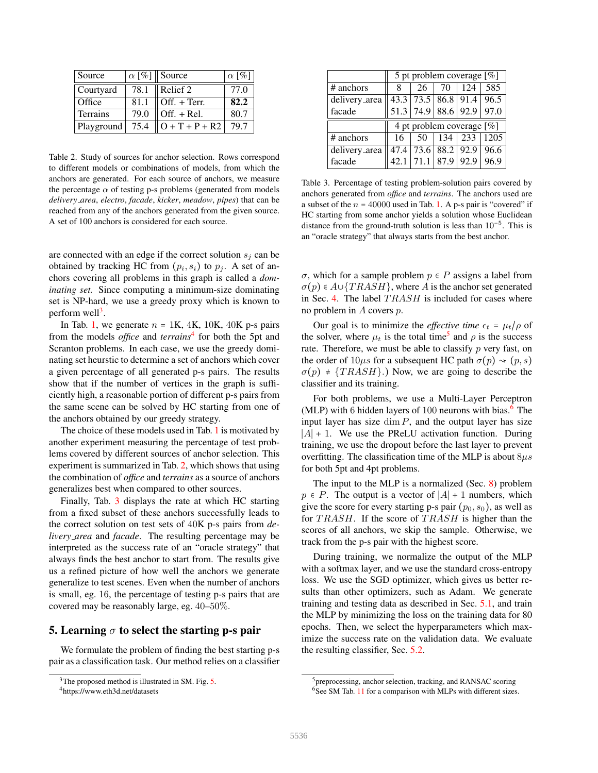| Source     |      | $\alpha$ [%] Source | $\alpha$ [%] |
|------------|------|---------------------|--------------|
| Courtyard  | 78.1 | Relief 2            | 77.0         |
| Office     | 81.1 | Off. + Terr.        | 82.2         |
| Terrains   | 79.0 | Off. + Rel.         | 80.7         |
| Playground | 75.4 | $O + T + P + R2$    | 79.7         |

Table 2. Study of sources for anchor selection. Rows correspond to different models or combinations of models, from which the anchors are generated. For each source of anchors, we measure the percentage  $\alpha$  of testing p-s problems (generated from models *delivery area*, *electro*, *facade*, *kicker*, *meadow*, *pipes*) that can be reached from any of the anchors generated from the given source. A set of 100 anchors is considered for each source.

are connected with an edge if the correct solution  $s_i$  can be obtained by tracking HC from  $(p_i, s_i)$  to  $p_j$ . A set of an-<br>obers equating all mobilizing in this graph is called a dam chors covering all problems in this graph is called a *dominating set.* Since computing a minimum-size dominating set is NP-hard, we use a greedy proxy which is known to perform well<sup>3</sup>.

In Tab. 1, we generate  $n = 1K$ , 4K, 10K, 40K p-s pairs from the models *office* and *terrains*<sup>4</sup> for both the 5pt and Scranton problems. In each case, we use the greedy dominating set heurstic to determine a set of anchors which cover a given percentage of all generated p-s pairs. The results show that if the number of vertices in the graph is sufficiently high, a reasonable portion of different p-s pairs from the same scene can be solved by HC starting from one of the anchors obtained by our greedy strategy.

The choice of these models used in Tab. 1 is motivated by another experiment measuring the percentage of test problems covered by different sources of anchor selection. This experiment is summarized in Tab. 2, which shows that using the combination of *office* and *terrains* as a source of anchors generalizes best when compared to other sources.

Finally, Tab. 3 displays the rate at which HC starting from a fixed subset of these anchors successfully leads to the correct solution on test sets of 40K p-s pairs from *delivery area* and *facade*. The resulting percentage may be interpreted as the success rate of an "oracle strategy" that always finds the best anchor to start from. The results give us a refined picture of how well the anchors we generate generalize to test scenes. Even when the number of anchors is small, eg. 16, the percentage of testing p-s pairs that are covered may be reasonably large, eg. 40–50%.

### 5. Learning  $\sigma$  to select the starting p-s pair

We formulate the problem of finding the best starting p-s pair as a classification task. Our method relies on a classifier

|               | 5 pt problem coverage $[\%]$ |    |                        |     |                                    |  |  |  |
|---------------|------------------------------|----|------------------------|-----|------------------------------------|--|--|--|
| # anchors     |                              | 26 | 70                     | 124 | 585                                |  |  |  |
| delivery_area |                              |    |                        |     | 43.3   73.5   86.8   91.4   96.5   |  |  |  |
| facade        |                              |    |                        |     | $51.3$   74.9   88.6   92.9   97.0 |  |  |  |
|               |                              |    |                        |     |                                    |  |  |  |
|               |                              |    |                        |     | 4 pt problem coverage $[\%]$       |  |  |  |
| # anchors     | 16                           |    | $50 \mid 134 \mid 233$ |     | 1205                               |  |  |  |
| delivery_area |                              |    |                        |     | 47.4 73.6 88.2 92.9 96.6           |  |  |  |

Table 3. Percentage of testing problem-solution pairs covered by anchors generated from *office* and *terrains*. The anchors used are a subset of the  $n = 40000$  used in Tab. 1. A p-s pair is "covered" if HC starting from some anchor yields a solution whose Euclidean distance from the ground-truth solution is less than  $10^{-5}$ . This is an "oracle strategy" that always starts from the best anchor.

<sup>σ</sup>, which for a sample problem <sup>p</sup> <sup>∈</sup> <sup>P</sup> assigns a label from  $\sigma(p) \in A \cup \{TRASH\}$ , where A is the anchor set generated in Sec. 4. The label  $TRASH$  is included for cases where no problem in  $A$  covers  $p$ .

Our goal is to minimize the *effective time*  $\epsilon_t = \mu_t/\rho$  of the solver, where  $\mu_t$  is the total time<sup>5</sup> and  $\rho$  is the success rate. Therefore, we must be able to classify  $p$  very fast, on the order of  $10\mu s$  for a subsequent HC path  $\sigma(p) \rightsquigarrow (p, s)$  $\sigma(p)$  ≠ {TRASH}.) Now, we are going to describe the classifier and its training.

For both problems, we use a Multi-Layer Perceptron (MLP) with 6 hidden layers of  $100$  neurons with bias.<sup>6</sup> The input layer has size  $\dim P$ , and the output layer has size <sup>∣</sup>A<sup>∣</sup> <sup>+</sup> <sup>1</sup>. We use the PReLU activation function. During training, we use the dropout before the last layer to prevent overfitting. The classification time of the MLP is about  $8\mu s$ for both 5pt and 4pt problems.

The input to the MLP is a normalized (Sec. 8) problem  $p \in P$ . The output is a vector of  $|A| + 1$  numbers, which give the score for every starting p-s pair  $(p_0, s_0)$ , as well as for  $TRASH$ . If the score of  $TRASH$  is higher than the scores of all anchors, we skip the sample. Otherwise, we track from the p-s pair with the highest score.

During training, we normalize the output of the MLP with a softmax layer, and we use the standard cross-entropy loss. We use the SGD optimizer, which gives us better results than other optimizers, such as Adam. We generate training and testing data as described in Sec. 5.1, and train the MLP by minimizing the loss on the training data for 80 epochs. Then, we select the hyperparameters which maximize the success rate on the validation data. We evaluate the resulting classifier, Sec. 5.2.

<sup>&</sup>lt;sup>3</sup>The proposed method is illustrated in SM. Fig. 5.

<sup>4</sup>https://www.eth3d.net/datasets

<sup>&</sup>lt;sup>5</sup>preprocessing, anchor selection, tracking, and RANSAC scoring <sup>6</sup>See SM Tab. 11 for a comparison with MLPs with different sizes.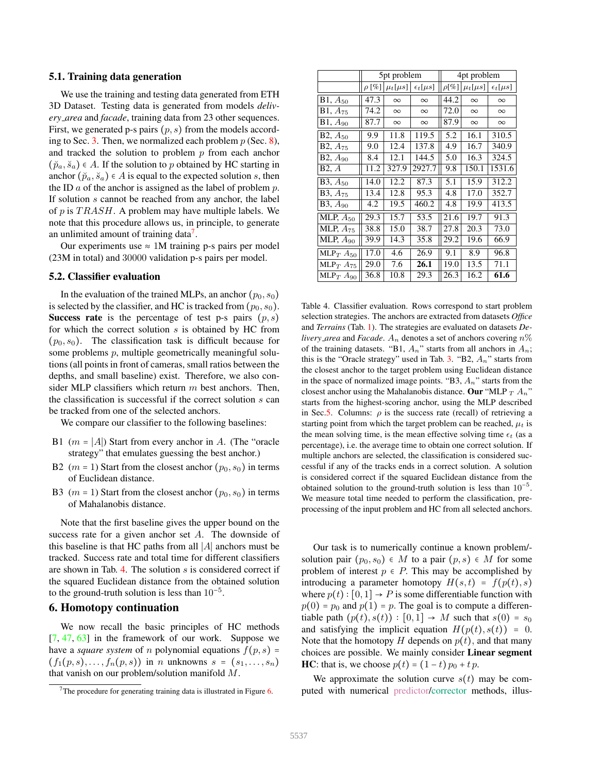### 5.1. Training data generation

We use the training and testing data generated from ETH 3D Dataset. Testing data is generated from models *delivery area* and *facade*, training data from 23 other sequences. First, we generated p-s pairs  $(p, s)$  from the models according to Sec. 3. Then, we normalized each problem  $p$  (Sec. 8), and tracked the solution to problem  $p$  from each anchor  $(\breve{p}_a, \breve{s}_a) \in A$ . If the solution to p obtained by HC starting in anchor  $(\breve{p}_a, \breve{s}_a) \in A$  is equal to the expected solution s, then the ID  $a$  of the anchor is assigned as the label of problem  $p$ . If solution s cannot be reached from any anchor, the label of  $p$  is  $TRASH$ . A problem may have multiple labels. We note that this procedure allows us, in principle, to generate an unlimited amount of training data<sup>7</sup>.

Our experiments use  $\approx 1$ M training p-s pairs per model (23M in total) and 30000 validation p-s pairs per model.

### 5.2. Classifier evaluation

In the evaluation of the trained MLPs, an anchor  $(p_0, s_0)$ is selected by the classifier, and HC is tracked from  $(p_0, s_0)$ . Success rate is the percentage of test p-s pairs  $(p, s)$ for which the correct solution s is obtained by HC from  $(p_0, s_0)$ . The classification task is difficult because for some problems p, multiple geometrically meaningful solutions (all points in front of cameras, small ratios between the depths, and small baseline) exist. Therefore, we also consider MLP classifiers which return  $m$  best anchors. Then, the classification is successful if the correct solution s can be tracked from one of the selected anchors.

We compare our classifier to the following baselines:

- B1 ( $m = |A|$ ) Start from every anchor in A. (The "oracle strategy" that emulates guessing the best anchor.)
- B2 ( $m = 1$ ) Start from the closest anchor ( $p_0, s_0$ ) in terms of Euclidean distance.
- B3 ( $m = 1$ ) Start from the closest anchor ( $p_0, s_0$ ) in terms of Mahalanobis distance.

Note that the first baseline gives the upper bound on the success rate for a given anchor set A. The downside of this baseline is that HC paths from all <sup>∣</sup>A<sup>∣</sup> anchors must be tracked. Success rate and total time for different classifiers are shown in Tab. 4. The solution  $s$  is considered correct if the squared Euclidean distance from the obtained solution to the ground-truth solution is less than  $10^{-5}$ .

#### 6. Homotopy continuation

We now recall the basic principles of HC methods  $[7, 47, 63]$  in the framework of our work. Suppose we have a *square system* of n polynomial equations  $f(p, s) =$  $(f_1(p, s), \ldots, f_n(p, s))$  in n unknowns  $s = (s_1, \ldots, s_n)$ that vanish on our problem/solution manifold M.

|                         |            | 5pt problem    |                     | 4pt problem |                |                     |  |
|-------------------------|------------|----------------|---------------------|-------------|----------------|---------------------|--|
|                         | $\rho$ [%] | $\mu_t[\mu s]$ | $\epsilon_t[\mu s]$ | $\rho$ [%]  | $\mu_t[\mu s]$ | $\epsilon_t[\mu s]$ |  |
| $B1, A_{50}$            | 47.3       | $\infty$       | $\infty$            | 44.2        | $\infty$       | $\infty$            |  |
| $B1, A_{75}$            | 74.2       | $\infty$       | $\infty$            | 72.0        | $\infty$       | $\infty$            |  |
| $B1, A_{90}$            | 87.7       | $\infty$       | $\infty$            | 87.9        | $\infty$       | $\infty$            |  |
| $B2, A_{50}$            | 9.9        | 11.8           | 119.5               | 5.2         | 16.1           | 310.5               |  |
| $B2, A_{75}$            | 9.0        | 12.4           | 137.8               | 4.9         | 16.7           | 340.9               |  |
| $B2, A_{90}$            | 8.4        | 12.1           | 144.5               | 5.0         | 16.3           | 324.5               |  |
| B2, A                   | 11.2       | 327.9          | 2927.7              | 9.8         | 150.1          | 1531.6              |  |
| $B3, A_{50}$            | 14.0       | 12.2           | 87.3                | 5.1         | 15.9           | 312.2               |  |
| $B3, A_{75}$            | 13.4       | 12.8           | 95.3                | 4.8         | 17.0           | 352.7               |  |
| $B3, A_{90}$            | 4.2        | 19.5           | 460.2               | 4.8         | 19.9           | 413.5               |  |
| MLP, $A_{50}$           | 29.3       | 15.7           | 53.5                | 21.6        | 19.7           | 91.3                |  |
| MLP, $A_{75}$           | 38.8       | 15.0           | 38.7                | 27.8        | 20.3           | 73.0                |  |
| MLP, $A_{90}$           | 39.9       | 14.3           | 35.8                | 29.2        | 19.6           | 66.9                |  |
| MLP $T$ A <sub>50</sub> | 17.0       | 4.6            | 26.9                | 9.1         | 8.9            | 96.8                |  |
| $MLP_T$ $A_{75}$        | 29.0       | 7.6            | 26.1                | 19.0        | 13.5           | 71.1                |  |
| MLP $T$ A <sub>90</sub> | 36.8       | 10.8           | 29.3                | 26.3        | 16.2           | 61.6                |  |

Table 4. Classifier evaluation. Rows correspond to start problem selection strategies. The anchors are extracted from datasets *Office* and *Terrains* (Tab. 1). The strategies are evaluated on datasets *Delivery\_area* and *Facade*.  $A_n$  denotes a set of anchors covering  $n\%$ of the training datasets. "B1,  $A_n$ " starts from all anchors in  $A_n$ ; this is the "Oracle strategy" used in Tab. 3. "B2,  $A_n$ " starts from the closest anchor to the target problem using Euclidean distance in the space of normalized image points. "B3,  $A_n$ " starts from the closest anchor using the Mahalanobis distance. Our "MLP  $_T A_n$ " starts from the highest-scoring anchor, using the MLP described in Sec.5. Columns:  $\rho$  is the success rate (recall) of retrieving a starting point from which the target problem can be reached,  $\mu_t$  is the mean solving time, is the mean effective solving time  $\epsilon_t$  (as a percentage), i.e. the average time to obtain one correct solution. If multiple anchors are selected, the classification is considered successful if any of the tracks ends in a correct solution. A solution is considered correct if the squared Euclidean distance from the obtained solution to the ground-truth solution is less than  $10^{-5}$ . We measure total time needed to perform the classification, preprocessing of the input problem and HC from all selected anchors.

Our task is to numerically continue a known problem/ solution pair  $(p_0, s_0) \in M$  to a pair  $(p, s) \in M$  for some problem of interest  $p \in P$ . This may be accomplished by introducing a parameter homotopy  $H(s,t) = f(p(t),s)$ where  $p(t): [0,1] \rightarrow P$  is some differentiable function with  $p(0) = p_0$  and  $p(1) = p$ . The goal is to compute a differentiable path  $(p(t), s(t)) : [0, 1] \rightarrow M$  such that  $s(0) = s_0$ and satisfying the implicit equation  $H(p(t), s(t)) = 0$ . Note that the homotopy H depends on  $p(t)$ , and that many choices are possible. We mainly consider Linear segment HC: that is, we choose  $p(t) = (1-t)p_0 + tp$ .

We approximate the solution curve  $s(t)$  may be computed with numerical predictor/corrector methods, illus-

 $7$ The procedure for generating training data is illustrated in Figure 6.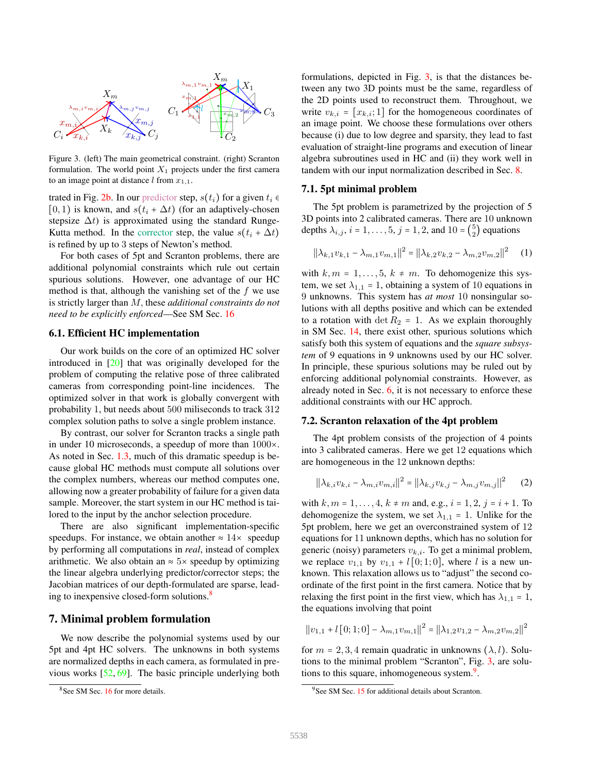

Figure 3. (left) The main geometrical constraint. (right) Scranton formulation. The world point  $X_1$  projects under the first camera to an image point at distance l from  $x_{1,1}$ .

trated in Fig. 2b. In our predictor step,  $s(t_i)$  for a given  $t_i \in$  $[0, 1)$  is known, and  $s(t_i + \Delta t)$  (for an adaptively-chosen stepsize  $\Delta t$ ) is approximated using the standard Runge-Kutta method. In the corrector step, the value  $s(t_i + \Delta t)$ is refined by up to 3 steps of Newton's method.

For both cases of 5pt and Scranton problems, there are additional polynomial constraints which rule out certain spurious solutions. However, one advantage of our HC method is that, although the vanishing set of the  $f$  we use is strictly larger than M, these *additional constraints do not need to be explicitly enforced*—See SM Sec. 16

#### 6.1. Efficient HC implementation

Our work builds on the core of an optimized HC solver introduced in [20] that was originally developed for the problem of computing the relative pose of three calibrated cameras from corresponding point-line incidences. The optimized solver in that work is globally convergent with probability 1, but needs about 500 miliseconds to track 312 complex solution paths to solve a single problem instance.

By contrast, our solver for Scranton tracks a single path in under 10 microseconds, a speedup of more than 1000×. As noted in Sec. 1.3, much of this dramatic speedup is because global HC methods must compute all solutions over the complex numbers, whereas our method computes one, allowing now a greater probability of failure for a given data sample. Moreover, the start system in our HC method is tailored to the input by the anchor selection procedure.

There are also significant implementation-specific speedups. For instance, we obtain another  $\approx 14 \times$  speedup by performing all computations in *real*, instead of complex arithmetic. We also obtain an  $\approx$  5× speedup by optimizing the linear algebra underlying predictor/corrector steps; the Jacobian matrices of our depth-formulated are sparse, leading to inexpensive closed-form solutions.<sup>8</sup>

# 7. Minimal problem formulation

We now describe the polynomial systems used by our 5pt and 4pt HC solvers. The unknowns in both systems are normalized depths in each camera, as formulated in previous works [52, 69]. The basic principle underlying both

formulations, depicted in Fig. 3, is that the distances between any two 3D points must be the same, regardless of the 2D points used to reconstruct them. Throughout, we write  $v_{k,i} = [x_{k,i}; 1]$  for the homogeneous coordinates of an image point. We choose these formulations over others because (i) due to low degree and sparsity, they lead to fast evaluation of straight-line programs and execution of linear algebra subroutines used in HC and (ii) they work well in tandem with our input normalization described in Sec. 8.

### 7.1. 5pt minimal problem

The 5pt problem is parametrized by the projection of 5 3D points into 2 calibrated cameras. There are 10 unknown depths  $\lambda_{i,j}$ ,  $i = 1, ..., 5, j = 1, 2$ , and  $10 = \binom{5}{2}$  $_2^{\circ}$ ) equations

$$
||\lambda_{k,1}v_{k,1} - \lambda_{m,1}v_{m,1}||^2 = ||\lambda_{k,2}v_{k,2} - \lambda_{m,2}v_{m,2}||^2 \quad (1)
$$

with  $k, m = 1, \ldots, 5, k \neq m$ . To dehomogenize this system, we set  $\lambda_{1,1} = 1$ , obtaining a system of 10 equations in 9 unknowns. This system has *at most* 10 nonsingular solutions with all depths positive and which can be extended to a rotation with det  $R_2 = 1$ . As we explain thoroughly in SM Sec. 14, there exist other, spurious solutions which satisfy both this system of equations and the *square subsystem* of 9 equations in 9 unknowns used by our HC solver. In principle, these spurious solutions may be ruled out by enforcing additional polynomial constraints. However, as already noted in Sec.  $6$ , it is not necessary to enforce these additional constraints with our HC approch.

### 7.2. Scranton relaxation of the 4pt problem

The 4pt problem consists of the projection of 4 points into 3 calibrated cameras. Here we get 12 equations which are homogeneous in the 12 unknown depths:

$$
||\lambda_{k,i}v_{k,i} - \lambda_{m,i}v_{m,i}||^2 = ||\lambda_{k,j}v_{k,j} - \lambda_{m,j}v_{m,j}||^2 \qquad (2)
$$

with  $k, m = 1, \ldots, 4, k \neq m$  and, e.g.,  $i = 1, 2, j = i + 1$ . To dehomogenize the system, we set  $\lambda_{1,1} = 1$ . Unlike for the 5pt problem, here we get an overconstrained system of 12 equations for 11 unknown depths, which has no solution for generic (noisy) parameters  $v_{k,i}$ . To get a minimal problem, we replace  $v_{1,1}$  by  $v_{1,1}$  +  $l$  [0; 1; 0], where l is a new unknown. This relaxation allows us to "adjust" the second coordinate of the first point in the first camera. Notice that by relaxing the first point in the first view, which has  $\lambda_{1,1} = 1$ , the equations involving that point

$$
||v_{1,1} + l[0;1;0] - \lambda_{m,1}v_{m,1}||^2 = ||\lambda_{1,2}v_{1,2} - \lambda_{m,2}v_{m,2}||^2
$$

for  $m = 2, 3, 4$  remain quadratic in unknowns  $(\lambda, l)$ . Solutions to the minimal problem "Scranton", Fig. 3, are solutions to this square, inhomogeneous system.<sup>9</sup>.

<sup>&</sup>lt;sup>8</sup>See SM Sec. 16 for more details.

<sup>&</sup>lt;sup>9</sup>See SM Sec. 15 for additional details about Scranton.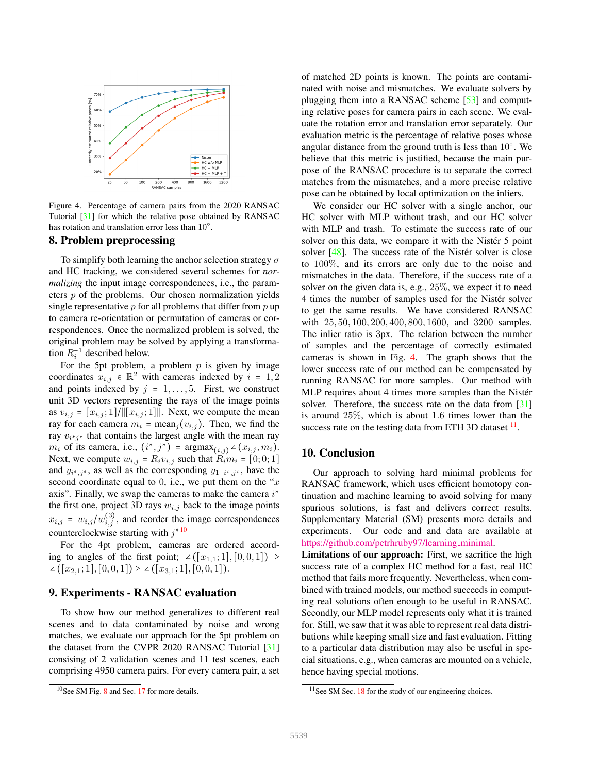

Figure 4. Percentage of camera pairs from the 2020 RANSAC Tutorial [31] for which the relative pose obtained by RANSAC has rotation and translation error less than 10°.

# 8. Problem preprocessing

To simplify both learning the anchor selection strategy  $\sigma$ and HC tracking, we considered several schemes for *normalizing* the input image correspondences, i.e., the parameters  $p$  of the problems. Our chosen normalization yields single representative  $p$  for all problems that differ from  $p$  up to camera re-orientation or permutation of cameras or correspondences. Once the normalized problem is solved, the original problem may be solved by applying a transformation  $R_i^{-1}$  described below.

For the 5pt problem, a problem  $p$  is given by image coordinates  $x_{i,j} \in \mathbb{R}^2$  with cameras indexed by  $i = 1, 2$ and points indexed by  $j = 1, \ldots, 5$ . First, we construct unit 3D vectors representing the rays of the image points as  $v_{i,j} = [x_{i,j}; 1] / \|[x_{i,j}; 1]\|$ . Next, we compute the mean ray for each camera  $m_i$  = mean<sub>j</sub>( $v_{i,j}$ ). Then, we find the ray  $v_{i^*j^*}$  that contains the largest angle with the mean ray  $m_i$  of its camera, i.e.,  $(i^*, j^*)$  =  $\operatorname{argmax}_{(i,j)} \angle (x_{i,j}, m_i)$ .<br>Not we compute  $w_i = R_i$  and that  $R_i = \begin{bmatrix} 0 & 0 & 1 \end{bmatrix}$ Next, we compute  $w_{i,j} = R_i v_{i,j}$  such that  $R_i m_i = [0, 0, 1]$ and  $y_{i^*,j^*}$ , as well as the corresponding  $y_{1-i^*,j^*}$ , have the second coordinate equal to 0, i.e., we put them on the " $x$ " axis". Finally, we swap the cameras to make the camera  $i^*$ the first one, project 3D rays  $w_{i,j}$  back to the image points  $x_{i,j} = w_{i,j}/w_{i,j}^{(3)}$ , and reorder the image correspondences counterclockwise starting with  $j^*$ <sup>10</sup>

For the 4pt problem, cameras are ordered according to angles of the first point; ∠ $([x_{1,1}; 1], [0, 0, 1]) \ge$ ∠ $([x_{2,1}; 1], [0, 0, 1]) \geq$  ∠ $([x_{3,1}; 1], [0, 0, 1]).$ 

# 9. Experiments - RANSAC evaluation

To show how our method generalizes to different real scenes and to data contaminated by noise and wrong matches, we evaluate our approach for the 5pt problem on the dataset from the CVPR 2020 RANSAC Tutorial [31] consising of 2 validation scenes and 11 test scenes, each comprising 4950 camera pairs. For every camera pair, a set of matched 2D points is known. The points are contaminated with noise and mismatches. We evaluate solvers by plugging them into a RANSAC scheme [53] and computing relative poses for camera pairs in each scene. We evaluate the rotation error and translation error separately. Our evaluation metric is the percentage of relative poses whose angular distance from the ground truth is less than  $10^{\circ}$ . We believe that this metric is justified, because the main purpose of the RANSAC procedure is to separate the correct matches from the mismatches, and a more precise relative pose can be obtained by local optimization on the inliers.

We consider our HC solver with a single anchor, our HC solver with MLP without trash, and our HC solver with MLP and trash. To estimate the success rate of our solver on this data, we compare it with the Nistér 5 point solver  $[48]$ . The success rate of the Nistér solver is close to 100%, and its errors are only due to the noise and mismatches in the data. Therefore, if the success rate of a solver on the given data is, e.g., 25%, we expect it to need 4 times the number of samples used for the Nistér solver to get the same results. We have considered RANSAC with 25, 50, 100, 200, 400, 800, 1600, and 3200 samples. The inlier ratio is 3px. The relation between the number of samples and the percentage of correctly estimated cameras is shown in Fig. 4. The graph shows that the lower success rate of our method can be compensated by running RANSAC for more samples. Our method with MLP requires about 4 times more samples than the Nistér solver. Therefore, the success rate on the data from [31] is around 25%, which is about 1.6 times lower than the success rate on the testing data from ETH 3D dataset  $11$ .

### 10. Conclusion

Our approach to solving hard minimal problems for RANSAC framework, which uses efficient homotopy continuation and machine learning to avoid solving for many spurious solutions, is fast and delivers correct results. Supplementary Material (SM) presents more details and experiments. Our code and and data are available at https://github.com/petrhruby97/learning\_minimal.

Limitations of our approach: First, we sacrifice the high success rate of a complex HC method for a fast, real HC method that fails more frequently. Nevertheless, when combined with trained models, our method succeeds in computing real solutions often enough to be useful in RANSAC. Secondly, our MLP model represents only what it is trained for. Still, we saw that it was able to represent real data distributions while keeping small size and fast evaluation. Fitting to a particular data distribution may also be useful in special situations, e.g., when cameras are mounted on a vehicle, hence having special motions.

<sup>&</sup>lt;sup>10</sup>See SM Fig. 8 and Sec. 17 for more details.

 $11$ See SM Sec. 18 for the study of our engineering choices.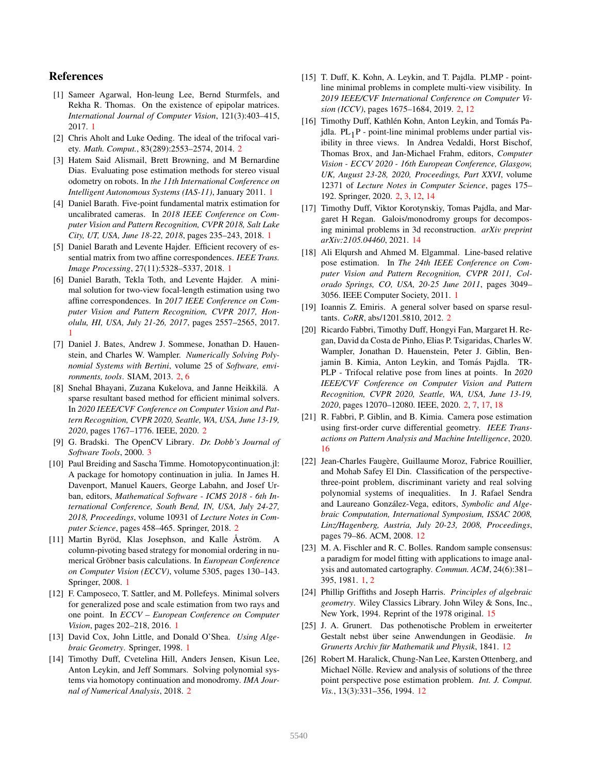# References

- [1] Sameer Agarwal, Hon-leung Lee, Bernd Sturmfels, and Rekha R. Thomas. On the existence of epipolar matrices. *International Journal of Computer Vision*, 121(3):403–415, 2017. 1
- [2] Chris Aholt and Luke Oeding. The ideal of the trifocal variety. *Math. Comput.*, 83(289):2553–2574, 2014. 2
- [3] Hatem Said Alismail, Brett Browning, and M Bernardine Dias. Evaluating pose estimation methods for stereo visual odometry on robots. In *the 11th International Conference on Intelligent Autonomous Systems (IAS-11)*, January 2011. 1
- [4] Daniel Barath. Five-point fundamental matrix estimation for uncalibrated cameras. In *2018 IEEE Conference on Computer Vision and Pattern Recognition, CVPR 2018, Salt Lake City, UT, USA, June 18-22, 2018*, pages 235–243, 2018. 1
- [5] Daniel Barath and Levente Hajder. Efficient recovery of essential matrix from two affine correspondences. *IEEE Trans. Image Processing*, 27(11):5328–5337, 2018. 1
- [6] Daniel Barath, Tekla Toth, and Levente Hajder. A minimal solution for two-view focal-length estimation using two affine correspondences. In *2017 IEEE Conference on Computer Vision and Pattern Recognition, CVPR 2017, Honolulu, HI, USA, July 21-26, 2017*, pages 2557–2565, 2017. 1
- [7] Daniel J. Bates, Andrew J. Sommese, Jonathan D. Hauenstein, and Charles W. Wampler. *Numerically Solving Polynomial Systems with Bertini*, volume 25 of *Software, environments, tools*. SIAM, 2013. 2, 6
- [8] Snehal Bhayani, Zuzana Kukelova, and Janne Heikkilä. A sparse resultant based method for efficient minimal solvers. In *2020 IEEE/CVF Conference on Computer Vision and Pattern Recognition, CVPR 2020, Seattle, WA, USA, June 13-19, 2020*, pages 1767–1776. IEEE, 2020. 2
- [9] G. Bradski. The OpenCV Library. *Dr. Dobb's Journal of Software Tools*, 2000. 3
- [10] Paul Breiding and Sascha Timme. Homotopycontinuation.jl: A package for homotopy continuation in julia. In James H. Davenport, Manuel Kauers, George Labahn, and Josef Urban, editors, *Mathematical Software - ICMS 2018 - 6th International Conference, South Bend, IN, USA, July 24-27, 2018, Proceedings*, volume 10931 of *Lecture Notes in Computer Science*, pages 458–465. Springer, 2018. 2
- [11] Martin Byröd, Klas Josephson, and Kalle Åström. A column-pivoting based strategy for monomial ordering in numerical Gröbner basis calculations. In *European Conference on Computer Vision (ECCV)*, volume 5305, pages 130–143. Springer, 2008. 1
- [12] F. Camposeco, T. Sattler, and M. Pollefeys. Minimal solvers for generalized pose and scale estimation from two rays and one point. In *ECCV – European Conference on Computer Vision*, pages 202–218, 2016. 1
- [13] David Cox, John Little, and Donald O'Shea. *Using Algebraic Geometry*. Springer, 1998. 1
- [14] Timothy Duff, Cvetelina Hill, Anders Jensen, Kisun Lee, Anton Leykin, and Jeff Sommars. Solving polynomial systems via homotopy continuation and monodromy. *IMA Journal of Numerical Analysis*, 2018. 2
- [15] T. Duff, K. Kohn, A. Leykin, and T. Pajdla. PLMP pointline minimal problems in complete multi-view visibility. In *2019 IEEE/CVF International Conference on Computer Vision (ICCV)*, pages 1675–1684, 2019. 2, 12
- [16] Timothy Duff, Kathlén Kohn, Anton Leykin, and Tomás Pajdla.  $PL_{1}P$  - point-line minimal problems under partial visibility in three views. In Andrea Vedaldi, Horst Bischof, Thomas Brox, and Jan-Michael Frahm, editors, *Computer Vision - ECCV 2020 - 16th European Conference, Glasgow, UK, August 23-28, 2020, Proceedings, Part XXVI*, volume 12371 of *Lecture Notes in Computer Science*, pages 175– 192. Springer, 2020. 2, 3, 12, 14
- [17] Timothy Duff, Viktor Korotynskiy, Tomas Pajdla, and Margaret H Regan. Galois/monodromy groups for decomposing minimal problems in 3d reconstruction. *arXiv preprint arXiv:2105.04460*, 2021. 14
- [18] Ali Elqursh and Ahmed M. Elgammal. Line-based relative pose estimation. In *The 24th IEEE Conference on Computer Vision and Pattern Recognition, CVPR 2011, Colorado Springs, CO, USA, 20-25 June 2011*, pages 3049– 3056. IEEE Computer Society, 2011. 1
- [19] Ioannis Z. Emiris. A general solver based on sparse resultants. *CoRR*, abs/1201.5810, 2012. 2
- [20] Ricardo Fabbri, Timothy Duff, Hongyi Fan, Margaret H. Regan, David da Costa de Pinho, Elias P. Tsigaridas, Charles W. Wampler, Jonathan D. Hauenstein, Peter J. Giblin, Benjamin B. Kimia, Anton Leykin, and Tomás Pajdla. TR-PLP - Trifocal relative pose from lines at points. In *2020 IEEE/CVF Conference on Computer Vision and Pattern Recognition, CVPR 2020, Seattle, WA, USA, June 13-19, 2020*, pages 12070–12080. IEEE, 2020. 2, 7, 17, 18
- [21] R. Fabbri, P. Giblin, and B. Kimia. Camera pose estimation using first-order curve differential geometry. *IEEE Transactions on Pattern Analysis and Machine Intelligence*, 2020. 16
- [22] Jean-Charles Faugère, Guillaume Moroz, Fabrice Rouillier, and Mohab Safey El Din. Classification of the perspectivethree-point problem, discriminant variety and real solving polynomial systems of inequalities. In J. Rafael Sendra and Laureano González-Vega, editors, Symbolic and Alge*braic Computation, International Symposium, ISSAC 2008, Linz/Hagenberg, Austria, July 20-23, 2008, Proceedings*, pages 79–86. ACM, 2008. 12
- [23] M. A. Fischler and R. C. Bolles. Random sample consensus: a paradigm for model fitting with applications to image analysis and automated cartography. *Commun. ACM*, 24(6):381– 395, 1981. 1, 2
- [24] Phillip Griffiths and Joseph Harris. *Principles of algebraic geometry*. Wiley Classics Library. John Wiley & Sons, Inc., New York, 1994. Reprint of the 1978 original. 15
- [25] J. A. Grunert. Das pothenotische Problem in erweiterter Gestalt nebst über seine Anwendungen in Geodäsie. *Grunerts Archiv für Mathematik und Physik*, 1841. 12
- [26] Robert M. Haralick, Chung-Nan Lee, Karsten Ottenberg, and Michael Nölle. Review and analysis of solutions of the three point perspective pose estimation problem. *Int. J. Comput. Vis.*, 13(3):331–356, 1994. 12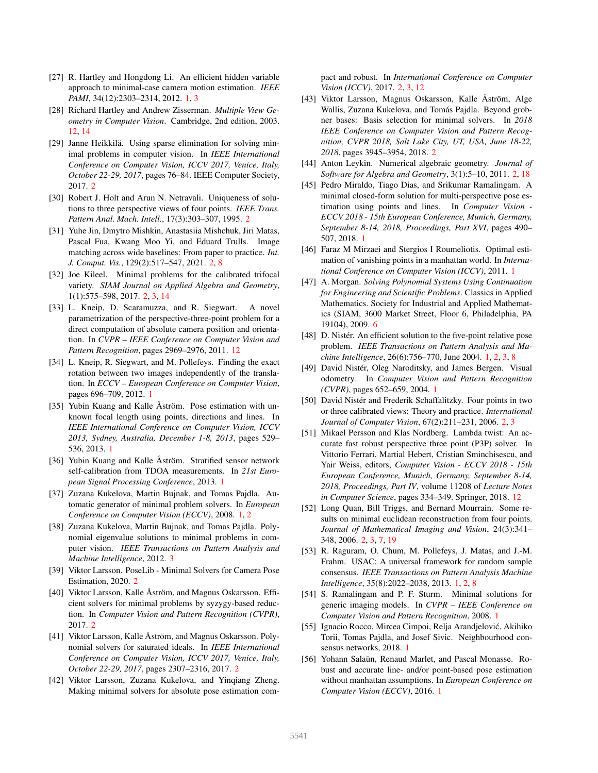- [27] R. Hartley and Hongdong Li. An efficient hidden variable approach to minimal-case camera motion estimation. *IEEE PAMI*, 34(12):2303–2314, 2012. 1, 3
- [28] Richard Hartley and Andrew Zisserman. *Multiple View Geometry in Computer Vision*. Cambridge, 2nd edition, 2003. 12, 14
- [29] Janne Heikkilä. Using sparse elimination for solving minimal problems in computer vision. In *IEEE International Conference on Computer Vision, ICCV 2017, Venice, Italy, October 22-29, 2017*, pages 76–84. IEEE Computer Society, 2017. 2
- [30] Robert J. Holt and Arun N. Netravali. Uniqueness of solutions to three perspective views of four points. *IEEE Trans. Pattern Anal. Mach. Intell.*, 17(3):303–307, 1995. 2
- [31] Yuhe Jin, Dmytro Mishkin, Anastasiia Mishchuk, Jiri Matas, Pascal Fua, Kwang Moo Yi, and Eduard Trulls. Image matching across wide baselines: From paper to practice. *Int. J. Comput. Vis.*, 129(2):517–547, 2021. 2, 8
- [32] Joe Kileel. Minimal problems for the calibrated trifocal variety. *SIAM Journal on Applied Algebra and Geometry*, 1(1):575–598, 2017. 2, 3, 14
- [33] L. Kneip, D. Scaramuzza, and R. Siegwart. A novel parametrization of the perspective-three-point problem for a direct computation of absolute camera position and orientation. In *CVPR – IEEE Conference on Computer Vision and Pattern Recognition*, pages 2969–2976, 2011. 12
- [34] L. Kneip, R. Siegwart, and M. Pollefeys. Finding the exact rotation between two images independently of the translation. In *ECCV – European Conference on Computer Vision*, pages 696–709, 2012. 1
- [35] Yubin Kuang and Kalle Åström. Pose estimation with unknown focal length using points, directions and lines. In *IEEE International Conference on Computer Vision, ICCV 2013, Sydney, Australia, December 1-8, 2013*, pages 529– 536, 2013. 1
- [36] Yubin Kuang and Kalle Åström. Stratified sensor network self-calibration from TDOA measurements. In *21st European Signal Processing Conference*, 2013. 1
- [37] Zuzana Kukelova, Martin Bujnak, and Tomas Pajdla. Automatic generator of minimal problem solvers. In *European Conference on Computer Vision (ECCV)*, 2008. 1, 2
- [38] Zuzana Kukelova, Martin Bujnak, and Tomas Pajdla. Polynomial eigenvalue solutions to minimal problems in computer vision. *IEEE Transactions on Pattern Analysis and Machine Intelligence*, 2012. 3
- [39] Viktor Larsson. PoseLib Minimal Solvers for Camera Pose Estimation, 2020. 2
- [40] Viktor Larsson, Kalle Åström, and Magnus Oskarsson. Efficient solvers for minimal problems by syzygy-based reduction. In *Computer Vision and Pattern Recognition (CVPR)*, 2017. 2
- [41] Viktor Larsson, Kalle Åström, and Magnus Oskarsson. Polynomial solvers for saturated ideals. In *IEEE International Conference on Computer Vision, ICCV 2017, Venice, Italy, October 22-29, 2017*, pages 2307–2316, 2017. 2
- [42] Viktor Larsson, Zuzana Kukelova, and Yingiang Zheng. Making minimal solvers for absolute pose estimation com-

pact and robust. In *International Conference on Computer Vision (ICCV)*, 2017. 2, 3, 12

- [43] Viktor Larsson, Magnus Oskarsson, Kalle Åström, Alge Wallis, Zuzana Kukelova, and Tomás Pajdla. Beyond grobner bases: Basis selection for minimal solvers. In *2018 IEEE Conference on Computer Vision and Pattern Recognition, CVPR 2018, Salt Lake City, UT, USA, June 18-22, 2018*, pages 3945–3954, 2018. 2
- [44] Anton Leykin. Numerical algebraic geometry. *Journal of Software for Algebra and Geometry*, 3(1):5–10, 2011. 2, 18
- [45] Pedro Miraldo, Tiago Dias, and Srikumar Ramalingam. A minimal closed-form solution for multi-perspective pose estimation using points and lines. In *Computer Vision - ECCV 2018 - 15th European Conference, Munich, Germany, September 8-14, 2018, Proceedings, Part XVI*, pages 490– 507, 2018. 1
- [46] Faraz M Mirzaei and Stergios I Roumeliotis. Optimal estimation of vanishing points in a manhattan world. In *International Conference on Computer Vision (ICCV)*, 2011. 1
- [47] A. Morgan. *Solving Polynomial Systems Using Continuation for Engineering and Scientific Problems*. Classics in Applied Mathematics. Society for Industrial and Applied Mathematics (SIAM, 3600 Market Street, Floor 6, Philadelphia, PA 19104), 2009. 6
- [48] D. Nistér. An efficient solution to the five-point relative pose problem. *IEEE Transactions on Pattern Analysis and Machine Intelligence*, 26(6):756–770, June 2004. 1, 2, 3, 8
- [49] David Nistér, Oleg Naroditsky, and James Bergen. Visual odometry. In *Computer Vision and Pattern Recognition (CVPR)*, pages 652–659, 2004. 1
- [50] David Nistér and Frederik Schaffalitzky. Four points in two or three calibrated views: Theory and practice. *International Journal of Computer Vision*, 67(2):211–231, 2006. 2, 3
- [51] Mikael Persson and Klas Nordberg. Lambda twist: An accurate fast robust perspective three point (P3P) solver. In Vittorio Ferrari, Martial Hebert, Cristian Sminchisescu, and Yair Weiss, editors, *Computer Vision - ECCV 2018 - 15th European Conference, Munich, Germany, September 8-14, 2018, Proceedings, Part IV*, volume 11208 of *Lecture Notes in Computer Science*, pages 334–349. Springer, 2018. 12
- [52] Long Quan, Bill Triggs, and Bernard Mourrain. Some results on minimal euclidean reconstruction from four points. *Journal of Mathematical Imaging and Vision*, 24(3):341– 348, 2006. 2, 3, 7, 19
- [53] R. Raguram, O. Chum, M. Pollefeys, J. Matas, and J.-M. Frahm. USAC: A universal framework for random sample consensus. *IEEE Transactions on Pattern Analysis Machine Intelligence*, 35(8):2022–2038, 2013. 1, 2, 8
- [54] S. Ramalingam and P. F. Sturm. Minimal solutions for generic imaging models. In *CVPR – IEEE Conference on Computer Vision and Pattern Recognition*, 2008. 1
- [55] Ignacio Rocco, Mircea Cimpoi, Relja Arandjelovic, Akihiko ´ Torii, Tomas Pajdla, and Josef Sivic. Neighbourhood consensus networks, 2018. 1
- [56] Yohann Salaün, Renaud Marlet, and Pascal Monasse. Robust and accurate line- and/or point-based pose estimation without manhattan assumptions. In *European Conference on Computer Vision (ECCV)*, 2016. 1